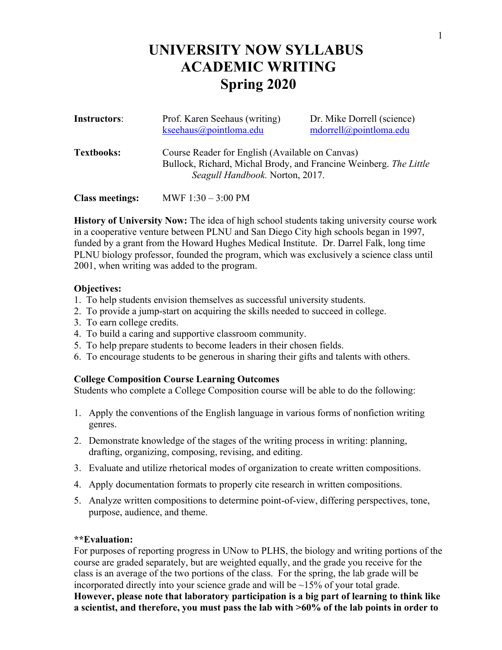# **UNIVERSITY NOW SYLLABUS ACADEMIC WRITING Spring 2020**

| Instructors:           | Prof. Karen Seehaus (writing)<br>$k$ seehaus@pointloma.edu                                                                                              | Dr. Mike Dorrell (science)<br>mdorrell@pointloma.edu |
|------------------------|---------------------------------------------------------------------------------------------------------------------------------------------------------|------------------------------------------------------|
| <b>Textbooks:</b>      | Course Reader for English (Available on Canvas)<br>Bullock, Richard, Michal Brody, and Francine Weinberg. The Little<br>Seagull Handbook. Norton, 2017. |                                                      |
| <b>Class meetings:</b> | MWF $1:30 - 3:00 \text{ PM}$                                                                                                                            |                                                      |

**History of University Now:** The idea of high school students taking university course work in a cooperative venture between PLNU and San Diego City high schools began in 1997, funded by a grant from the Howard Hughes Medical Institute. Dr. Darrel Falk, long time PLNU biology professor, founded the program, which was exclusively a science class until 2001, when writing was added to the program.

## **Objectives:**

- 1. To help students envision themselves as successful university students.
- 2. To provide a jump-start on acquiring the skills needed to succeed in college.
- 3. To earn college credits.
- 4. To build a caring and supportive classroom community.
- 5. To help prepare students to become leaders in their chosen fields.
- 6. To encourage students to be generous in sharing their gifts and talents with others.

## **College Composition Course Learning Outcomes**

Students who complete a College Composition course will be able to do the following:

- 1. Apply the conventions of the English language in various forms of nonfiction writing genres.
- 2. Demonstrate knowledge of the stages of the writing process in writing: planning, drafting, organizing, composing, revising, and editing.
- 3. Evaluate and utilize rhetorical modes of organization to create written compositions.
- 4. Apply documentation formats to properly cite research in written compositions.
- 5. Analyze written compositions to determine point-of-view, differing perspectives, tone, purpose, audience, and theme.

## **\*\*Evaluation:**

For purposes of reporting progress in UNow to PLHS, the biology and writing portions of the course are graded separately, but are weighted equally, and the grade you receive for the class is an average of the two portions of the class. For the spring, the lab grade will be incorporated directly into your science grade and will be  $\sim$ 15% of your total grade. **However, please note that laboratory participation is a big part of learning to think like a scientist, and therefore, you must pass the lab with >60% of the lab points in order to**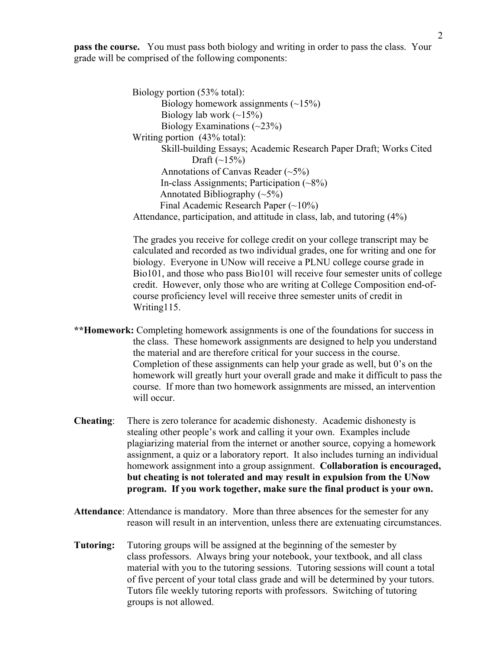**pass the course.** You must pass both biology and writing in order to pass the class. Your grade will be comprised of the following components:

> Biology portion (53% total): Biology homework assignments  $(\sim 15\%)$ Biology lab work  $(-15%)$ Biology Examinations  $(\sim 23\%)$ Writing portion (43% total): Skill-building Essays; Academic Research Paper Draft; Works Cited Draft  $(-15%)$ Annotations of Canvas Reader (~5%) In-class Assignments; Participation  $(\sim 8\%)$ Annotated Bibliography  $(\sim 5\%)$ Final Academic Research Paper (~10%) Attendance, participation, and attitude in class, lab, and tutoring (4%)

The grades you receive for college credit on your college transcript may be calculated and recorded as two individual grades, one for writing and one for biology. Everyone in UNow will receive a PLNU college course grade in Bio101, and those who pass Bio101 will receive four semester units of college credit. However, only those who are writing at College Composition end-ofcourse proficiency level will receive three semester units of credit in Writing115.

- **\*\*Homework:** Completing homework assignments is one of the foundations for success in the class. These homework assignments are designed to help you understand the material and are therefore critical for your success in the course. Completion of these assignments can help your grade as well, but 0's on the homework will greatly hurt your overall grade and make it difficult to pass the course. If more than two homework assignments are missed, an intervention will occur.
- **Cheating**: There is zero tolerance for academic dishonesty. Academic dishonesty is stealing other people's work and calling it your own. Examples include plagiarizing material from the internet or another source, copying a homework assignment, a quiz or a laboratory report. It also includes turning an individual homework assignment into a group assignment. **Collaboration is encouraged, but cheating is not tolerated and may result in expulsion from the UNow program. If you work together, make sure the final product is your own.**
- **Attendance**: Attendance is mandatory. More than three absences for the semester for any reason will result in an intervention, unless there are extenuating circumstances.
- **Tutoring:** Tutoring groups will be assigned at the beginning of the semester by class professors. Always bring your notebook, your textbook, and all class material with you to the tutoring sessions. Tutoring sessions will count a total of five percent of your total class grade and will be determined by your tutors. Tutors file weekly tutoring reports with professors. Switching of tutoring groups is not allowed.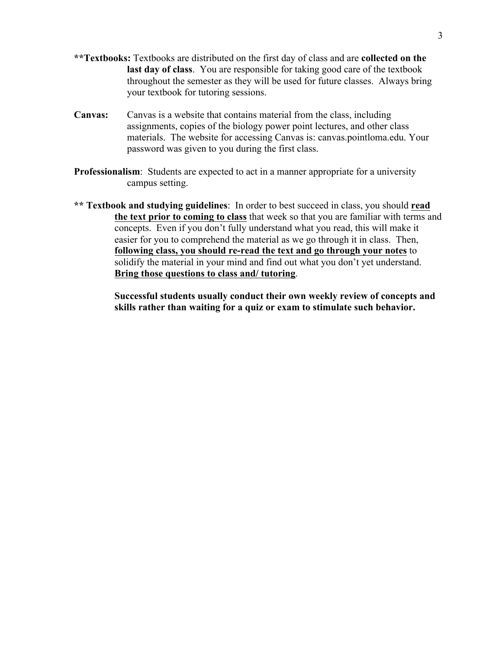- **\*\*Textbooks:** Textbooks are distributed on the first day of class and are **collected on the last day of class**. You are responsible for taking good care of the textbook throughout the semester as they will be used for future classes. Always bring your textbook for tutoring sessions.
- **Canvas:** Canvas is a website that contains material from the class, including assignments, copies of the biology power point lectures, and other class materials. The website for accessing Canvas is: canvas.pointloma.edu. Your password was given to you during the first class.
- **Professionalism**: Students are expected to act in a manner appropriate for a university campus setting.
- **\*\* Textbook and studying guidelines**: In order to best succeed in class, you should **read the text prior to coming to class** that week so that you are familiar with terms and concepts. Even if you don't fully understand what you read, this will make it easier for you to comprehend the material as we go through it in class. Then, **following class, you should re-read the text and go through your notes** to solidify the material in your mind and find out what you don't yet understand. **Bring those questions to class and/ tutoring**.

**Successful students usually conduct their own weekly review of concepts and skills rather than waiting for a quiz or exam to stimulate such behavior.**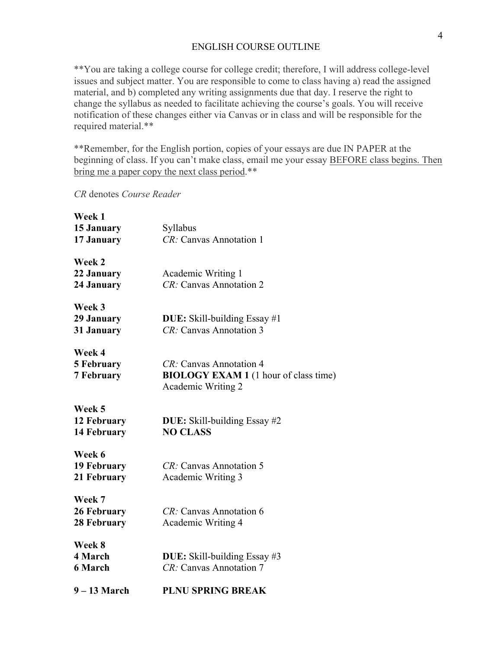## ENGLISH COURSE OUTLINE

\*\*You are taking a college course for college credit; therefore, I will address college-level issues and subject matter. You are responsible to come to class having a) read the assigned material, and b) completed any writing assignments due that day. I reserve the right to change the syllabus as needed to facilitate achieving the course's goals. You will receive notification of these changes either via Canvas or in class and will be responsible for the required material.\*\*

\*\*Remember, for the English portion, copies of your essays are due IN PAPER at the beginning of class. If you can't make class, email me your essay BEFORE class begins. Then bring me a paper copy the next class period.\*\*

*CR* denotes *Course Reader*

| $9 - 13$ March                                   | <b>PLNU SPRING BREAK</b>                                                                      |
|--------------------------------------------------|-----------------------------------------------------------------------------------------------|
| Week 8<br>4 March<br><b>6 March</b>              | DUE: Skill-building Essay #3<br>CR: Canvas Annotation 7                                       |
| Week 7<br>26 February<br>28 February             | CR: Canvas Annotation 6<br>Academic Writing 4                                                 |
| Week 6<br><b>19 February</b><br>21 February      | CR: Canvas Annotation 5<br>Academic Writing 3                                                 |
| Week 5<br>12 February<br>14 February             | <b>DUE:</b> Skill-building Essay #2<br><b>NO CLASS</b>                                        |
| Week 4<br><b>5 February</b><br><b>7 February</b> | CR: Canvas Annotation 4<br><b>BIOLOGY EXAM 1</b> (1 hour of class time)<br>Academic Writing 2 |
| Week 3<br>29 January<br>31 January               | <b>DUE:</b> Skill-building Essay #1<br>CR: Canvas Annotation 3                                |
| Week 2<br>22 January<br>24 January               | Academic Writing 1<br>CR: Canvas Annotation 2                                                 |
| Week 1<br>15 January<br>17 January               | Syllabus<br>CR: Canvas Annotation 1                                                           |